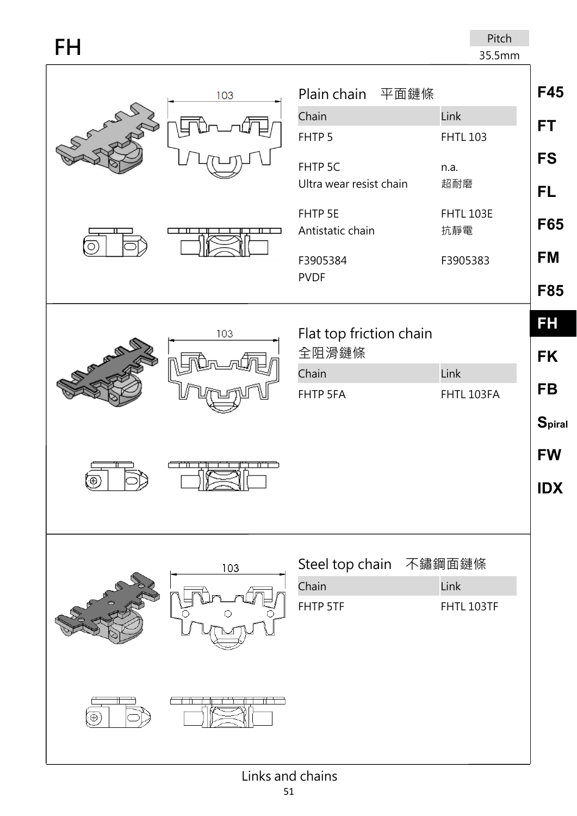| FH                 |                                                                                                                     | Pitch<br>35.5mm                                                   |                                                   |
|--------------------|---------------------------------------------------------------------------------------------------------------------|-------------------------------------------------------------------|---------------------------------------------------|
| 103<br>A A AMERICA | Plain chain 平面鏈條<br>Chain<br>FHTP <sub>5</sub><br>FHTP 5C<br>Ultra wear resist chain<br>FHTP 5E<br>Antistatic chain | Link<br><b>FHTL 103</b><br>n.a.<br>超耐磨<br><b>FHTL 103E</b><br>抗靜電 | <b>F45</b><br><b>FT</b><br><b>FS</b><br>FL<br>F65 |
|                    | F3905384<br><b>PVDF</b>                                                                                             | F3905383                                                          | <b>FM</b><br><b>F85</b>                           |
| 103<br>of the day  | Flat top friction chain<br>全阻滑鏈條<br>Chain<br>FHTP 5FA                                                               | Link<br>FHTL 103FA                                                | FH<br><b>FK</b><br><b>FB</b><br><b>Spiral</b>     |
| خصسا               |                                                                                                                     |                                                                   | <b>FW</b><br><b>IDX</b>                           |
| 103                | Steel top chain 不鏽鋼面鏈條<br>Chain<br>FHTP 5TF                                                                         | Link<br>FHTL 103TF                                                |                                                   |
| $\oplus$           |                                                                                                                     |                                                                   |                                                   |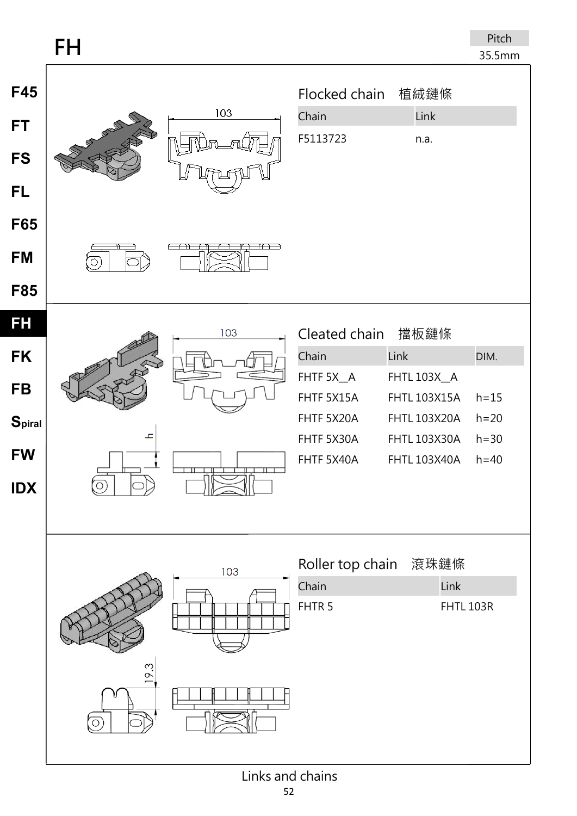## **FH**

| F45<br><b>FT</b><br><b>FS</b><br><b>FL</b><br>F65<br><b>FM</b><br><b>F85</b> | 103<br>oreally of<br>$\circ$ |     | Flocked chain<br>Chain<br>F5113723                                                          | 植絨鏈條<br>Link<br>n.a.                                                                                                    |                                                  |
|------------------------------------------------------------------------------|------------------------------|-----|---------------------------------------------------------------------------------------------|-------------------------------------------------------------------------------------------------------------------------|--------------------------------------------------|
| <b>FH</b><br><b>FK</b><br><b>FB</b><br>Spiral<br><b>FW</b><br><b>IDX</b>     | $\mathscr{F}$<br>고           | 103 | Cleated chain<br>Chain<br>FHTF 5X_A<br>FHTF 5X15A<br>FHTF 5X20A<br>FHTF 5X30A<br>FHTF 5X40A | 擋板鏈條<br>Link<br>FHTL 103X_A<br><b>FHTL 103X15A</b><br><b>FHTL 103X20A</b><br><b>FHTL 103X30A</b><br><b>FHTL 103X40A</b> | DIM.<br>$h = 15$<br>$h=20$<br>$h=30$<br>$h = 40$ |
|                                                                              | 9.3                          | 103 | Roller top chain<br>Chain<br>FHTR <sub>5</sub>                                              | 滾珠鏈條<br>Link<br><b>FHTL 103R</b>                                                                                        |                                                  |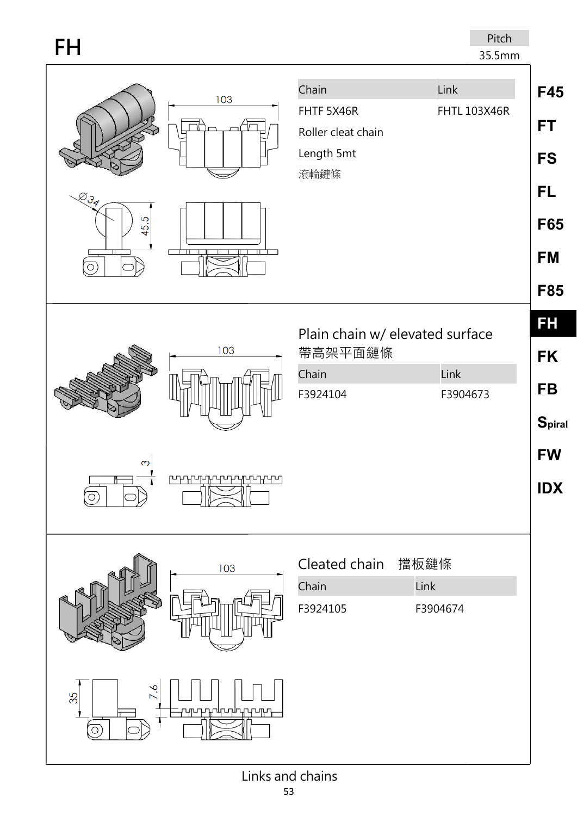| FH                                                         | Pitch<br>35.5mm                                                                                |                                                                          |
|------------------------------------------------------------|------------------------------------------------------------------------------------------------|--------------------------------------------------------------------------|
| 103                                                        | Chain<br>Link<br>FHTF 5X46R<br><b>FHTL 103X46R</b><br>Roller cleat chain<br>Length 5mt<br>滾輪鏈條 | F45<br><b>FT</b><br><b>FS</b>                                            |
| $Z_{34}$<br>45.5<br>Ó                                      |                                                                                                | <b>FL</b><br><b>F65</b><br><b>FM</b><br><b>F85</b>                       |
| 103<br>S<br><b>┍╍┾┶╫┷╫╍╁╍╫┷╫┷╫┷┧</b><br>$\circ$            | Plain chain w/ elevated surface<br>帶高架平面鏈條<br>Link<br>Chain<br>F3924104<br>F3904673            | FH<br><b>FK</b><br><b>FB</b><br><b>Spiral</b><br><b>FW</b><br><b>IDX</b> |
| 103                                                        | Cleated chain<br>擋板鏈條<br>Link<br>Chain<br>F3924105<br>F3904674                                 |                                                                          |
| 7.6<br>35<br><b>ਦਰਸ਼ਾ</b><br>ᠾ<br>րտ<br>$\overline{\circ}$ |                                                                                                |                                                                          |